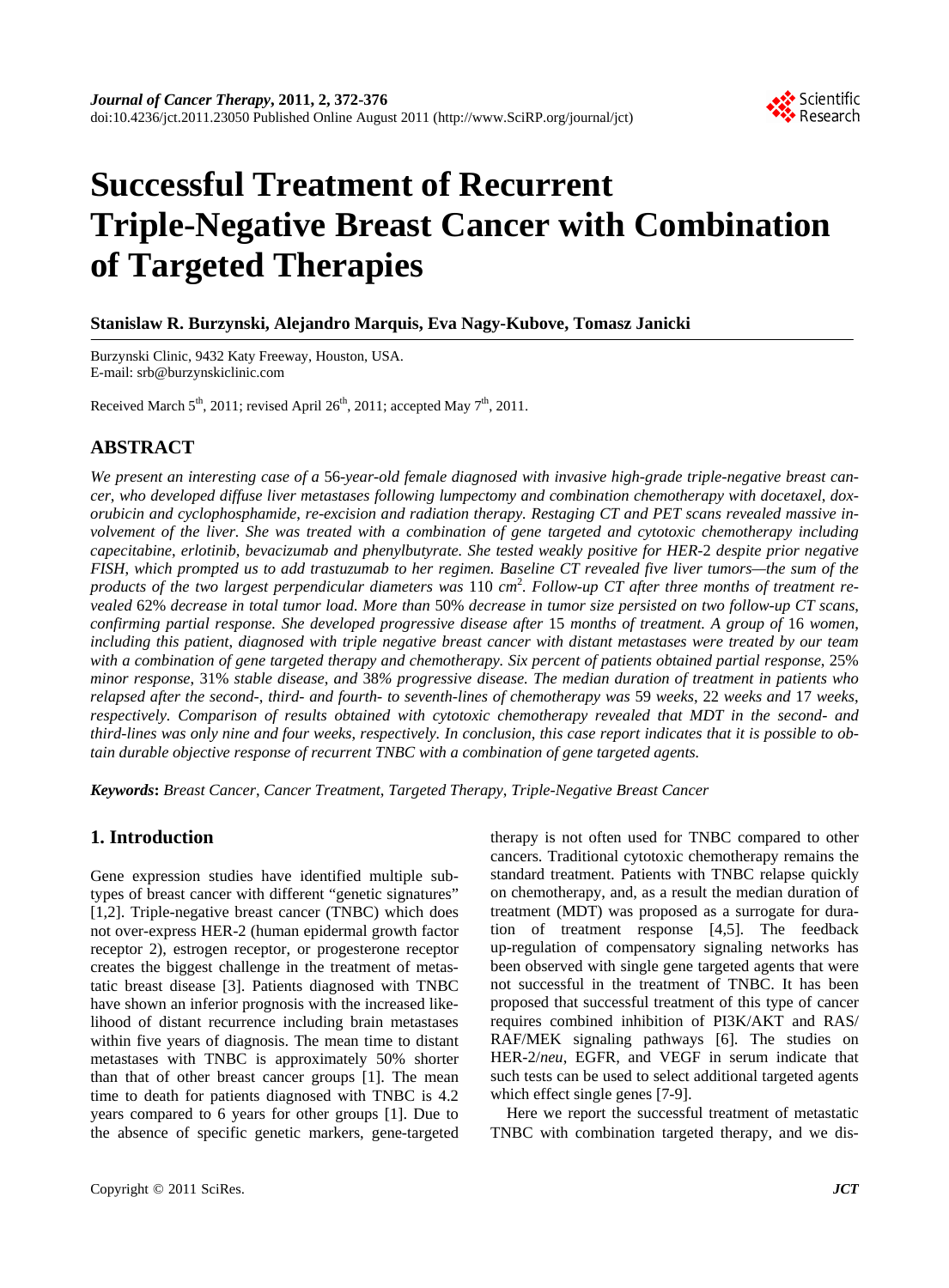

# **Successful Treatment of Recurrent Triple-Negative Breast Cancer with Combination of Targeted Therapies**

**Stanislaw R. Burzynski, Alejandro Marquis, Eva Nagy-Kubove, Tomasz Janicki** 

Burzynski Clinic, 9432 Katy Freeway, Houston, USA. E-mail: srb@burzynskiclinic.com

Received March  $5<sup>th</sup>$ , 2011; revised April 26<sup>th</sup>, 2011; accepted May  $7<sup>th</sup>$ , 2011.

## **ABSTRACT**

*We present an interesting case of a* 56*-year-old female diagnosed with invasive high-grade triple-negative breast cancer*, *who developed diffuse liver metastases following lumpectomy and combination chemotherapy with docetaxel*, *doxorubicin and cyclophosphamide*, *re-excision and radiation therapy. Restaging CT and PET scans revealed massive involvement of the liver. She was treated with a combination of gene targeted and cytotoxic chemotherapy including capecitabine*, *erlotinib*, *bevacizumab and phenylbutyrate. She tested weakly positive for HER-*2 *despite prior negative FISH*, *which prompted us to add trastuzumab to her regimen. Baseline CT revealed five liver tumors—the sum of the products of the two largest perpendicular diameters was* 110 *cm*<sup>2</sup> *. Follow-up CT after three months of treatment revealed* 62% *decrease in total tumor load. More than* 50% *decrease in tumor size persisted on two follow-up CT scans*, *confirming partial response. She developed progressive disease after* 15 *months of treatment. A group of* 16 *women*, *including this patient*, *diagnosed with triple negative breast cancer with distant metastases were treated by our team with a combination of gene targeted therapy and chemotherapy. Six percent of patients obtained partial response*, 25% *minor response*, 31% *stable disease*, *and* 38*% progressive disease. The median duration of treatment in patients who relapsed after the second-*, *third- and fourth- to seventh-lines of chemotherapy was* 59 *weeks*, 22 *weeks and* 17 *weeks*, *respectively. Comparison of results obtained with cytotoxic chemotherapy revealed that MDT in the second- and third-lines was only nine and four weeks*, *respectively. In conclusion*, *this case report indicates that it is possible to obtain durable objective response of recurrent TNBC with a combination of gene targeted agents.* 

*Keywords***:** *Breast Cancer*, *Cancer Treatment*, *Targeted Therapy*, *Triple-Negative Breast Cancer* 

## **1. Introduction**

Gene expression studies have identified multiple subtypes of breast cancer with different "genetic signatures" [1,2]. Triple-negative breast cancer (TNBC) which does not over-express HER-2 (human epidermal growth factor receptor 2), estrogen receptor, or progesterone receptor creates the biggest challenge in the treatment of metastatic breast disease [3]. Patients diagnosed with TNBC have shown an inferior prognosis with the increased likelihood of distant recurrence including brain metastases within five years of diagnosis. The mean time to distant metastases with TNBC is approximately 50% shorter than that of other breast cancer groups [1]. The mean time to death for patients diagnosed with TNBC is 4.2 years compared to 6 years for other groups [1]. Due to the absence of specific genetic markers, gene-targeted

therapy is not often used for TNBC compared to other cancers. Traditional cytotoxic chemotherapy remains the standard treatment. Patients with TNBC relapse quickly on chemotherapy, and, as a result the median duration of treatment (MDT) was proposed as a surrogate for duration of treatment response [4,5]. The feedback up-regulation of compensatory signaling networks has been observed with single gene targeted agents that were not successful in the treatment of TNBC. It has been proposed that successful treatment of this type of cancer requires combined inhibition of PI3K/AKT and RAS/ RAF/MEK signaling pathways [6]. The studies on HER-2/*neu*, EGFR, and VEGF in serum indicate that such tests can be used to select additional targeted agents which effect single genes [7-9].

Here we report the successful treatment of metastatic TNBC with combination targeted therapy, and we dis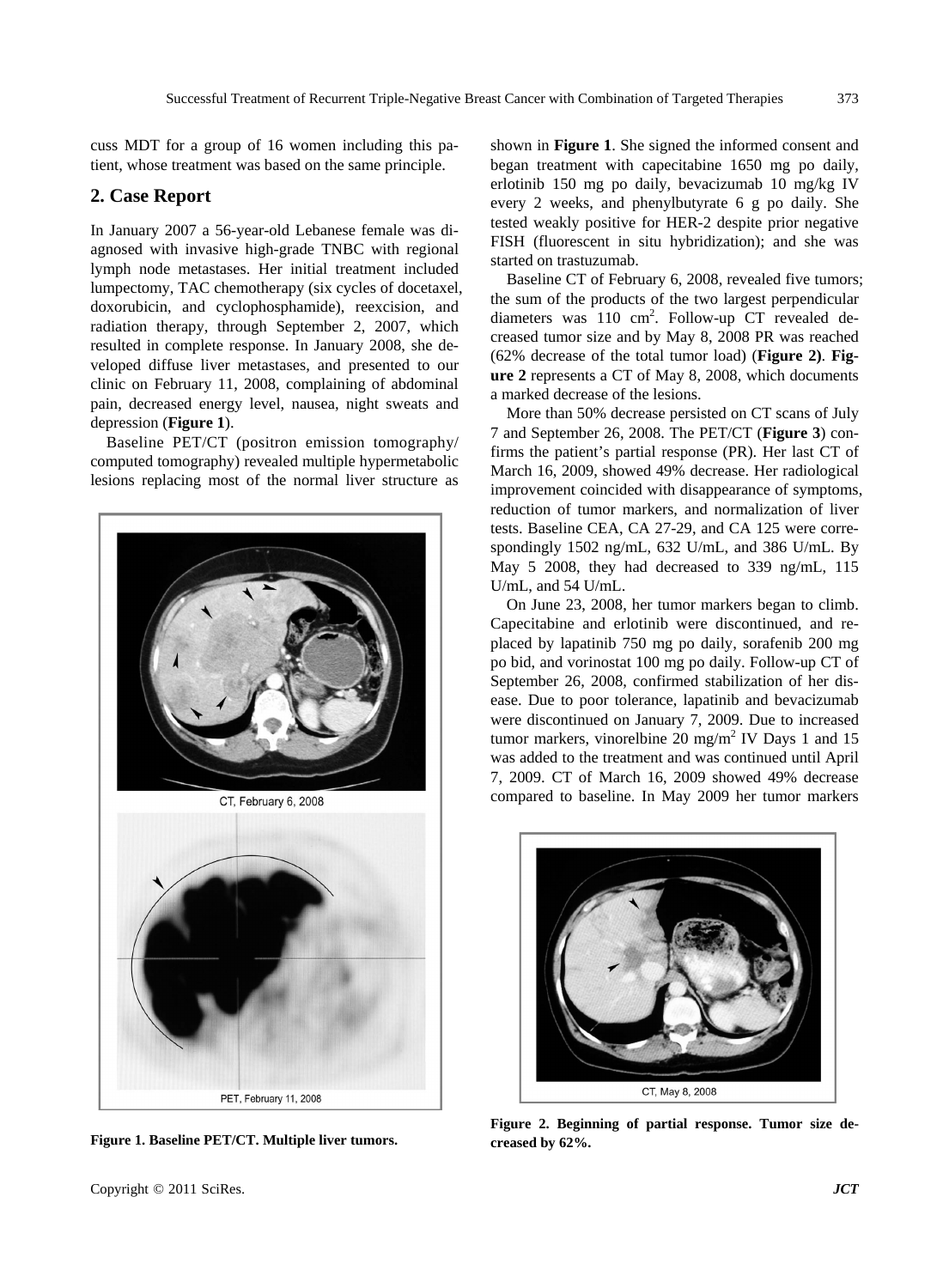cuss MDT for a group of 16 women including this patient, whose treatment was based on the same principle.

### **2. Case Report**

In January 2007 a 56-year-old Lebanese female was diagnosed with invasive high-grade TNBC with regional lymph node metastases. Her initial treatment included lumpectomy, TAC chemotherapy (six cycles of docetaxel, doxorubicin, and cyclophosphamide), reexcision, and radiation therapy, through September 2, 2007, which resulted in complete response. In January 2008, she developed diffuse liver metastases, and presented to our clinic on February 11, 2008, complaining of abdominal pain, decreased energy level, nausea, night sweats and depression (**Figure 1**).

Baseline PET/CT (positron emission tomography/ computed tomography) revealed multiple hypermetabolic lesions replacing most of the normal liver structure as



**Figure 1. Baseline PET/CT. Multiple liver tumors.** 

shown in **Figure 1**. She signed the informed consent and began treatment with capecitabine 1650 mg po daily, erlotinib 150 mg po daily, bevacizumab 10 mg/kg IV every 2 weeks, and phenylbutyrate 6 g po daily. She tested weakly positive for HER-2 despite prior negative FISH (fluorescent in situ hybridization); and she was started on trastuzumab.

Baseline CT of February 6, 2008, revealed five tumors; the sum of the products of the two largest perpendicular diameters was 110 cm<sup>2</sup>. Follow-up CT revealed decreased tumor size and by May 8, 2008 PR was reached (62% decrease of the total tumor load) (**Figure 2)**. **Figure 2** represents a CT of May 8, 2008, which documents a marked decrease of the lesions.

More than 50% decrease persisted on CT scans of July 7 and September 26, 2008. The PET/CT (**Figure 3**) confirms the patient's partial response (PR). Her last CT of March 16, 2009, showed 49% decrease. Her radiological improvement coincided with disappearance of symptoms, reduction of tumor markers, and normalization of liver tests. Baseline CEA, CA 27-29, and CA 125 were correspondingly 1502 ng/mL, 632 U/mL, and 386 U/mL. By May 5 2008, they had decreased to 339 ng/mL, 115 U/mL, and 54 U/mL.

On June 23, 2008, her tumor markers began to climb. Capecitabine and erlotinib were discontinued, and replaced by lapatinib 750 mg po daily, sorafenib 200 mg po bid, and vorinostat 100 mg po daily. Follow-up CT of September 26, 2008, confirmed stabilization of her disease. Due to poor tolerance, lapatinib and bevacizumab were discontinued on January 7, 2009. Due to increased tumor markers, vinorelbine  $20 \text{ mg/m}^2$  IV Days 1 and 15 was added to the treatment and was continued until April 7, 2009. CT of March 16, 2009 showed 49% decrease compared to baseline. In May 2009 her tumor markers



**Figure 2. Beginning of partial response. Tumor size decreased by 62%.**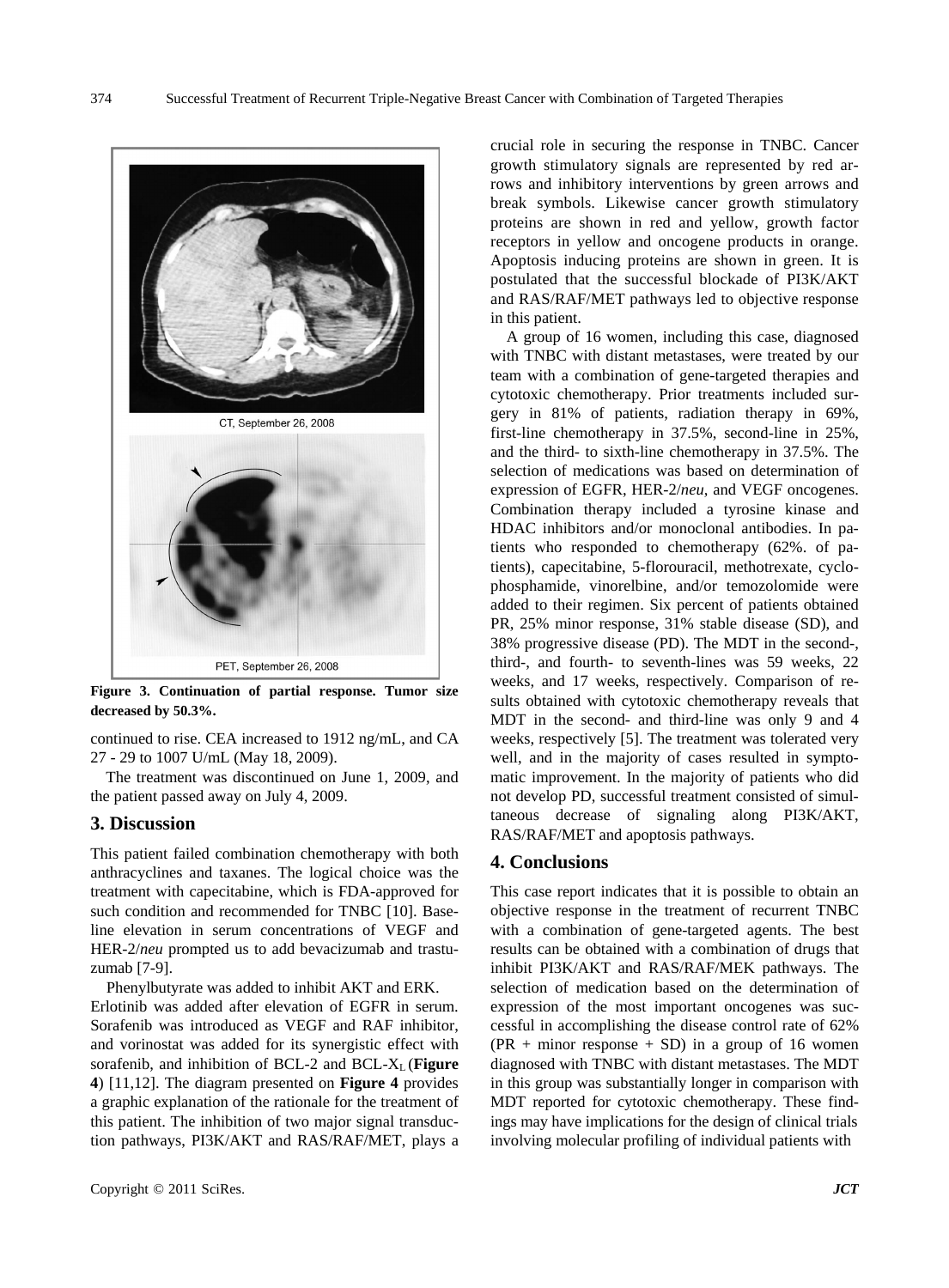CT, September 26, 2008 PET, September 26, 2008

**Figure 3. Continuation of partial response. Tumor size decreased by 50.3%.**

continued to rise. CEA increased to 1912 ng/mL, and CA 27 - 29 to 1007 U/mL (May 18, 2009).

The treatment was discontinued on June 1, 2009, and the patient passed away on July 4, 2009.

#### **3. Discussion**

This patient failed combination chemotherapy with both anthracyclines and taxanes. The logical choice was the treatment with capecitabine, which is FDA-approved for such condition and recommended for TNBC [10]. Baseline elevation in serum concentrations of VEGF and HER-2/*neu* prompted us to add bevacizumab and trastuzumab [7-9].

Phenylbutyrate was added to inhibit AKT and ERK.

Erlotinib was added after elevation of EGFR in serum. Sorafenib was introduced as VEGF and RAF inhibitor, and vorinostat was added for its synergistic effect with sorafenib, and inhibition of BCL-2 and BCL- $X_L$  (**Figure 4**) [11,12]. The diagram presented on **Figure 4** provides a graphic explanation of the rationale for the treatment of this patient. The inhibition of two major signal transduction pathways, PI3K/AKT and RAS/RAF/MET, plays a crucial role in securing the response in TNBC. Cancer growth stimulatory signals are represented by red arrows and inhibitory interventions by green arrows and break symbols. Likewise cancer growth stimulatory proteins are shown in red and yellow, growth factor receptors in yellow and oncogene products in orange. Apoptosis inducing proteins are shown in green. It is postulated that the successful blockade of PI3K/AKT and RAS/RAF/MET pathways led to objective response in this patient.

A group of 16 women, including this case, diagnosed with TNBC with distant metastases, were treated by our team with a combination of gene-targeted therapies and cytotoxic chemotherapy. Prior treatments included surgery in 81% of patients, radiation therapy in 69%, first-line chemotherapy in 37.5%, second-line in 25%, and the third- to sixth-line chemotherapy in 37.5%. The selection of medications was based on determination of expression of EGFR, HER-2/*neu*, and VEGF oncogenes. Combination therapy included a tyrosine kinase and HDAC inhibitors and/or monoclonal antibodies. In patients who responded to chemotherapy (62%. of patients), capecitabine, 5-florouracil, methotrexate, cyclophosphamide, vinorelbine, and/or temozolomide were added to their regimen. Six percent of patients obtained PR, 25% minor response, 31% stable disease (SD), and 38% progressive disease (PD). The MDT in the second-, third-, and fourth- to seventh-lines was 59 weeks, 22 weeks, and 17 weeks, respectively. Comparison of results obtained with cytotoxic chemotherapy reveals that MDT in the second- and third-line was only 9 and 4 weeks, respectively [5]. The treatment was tolerated very well, and in the majority of cases resulted in symptomatic improvement. In the majority of patients who did not develop PD, successful treatment consisted of simultaneous decrease of signaling along PI3K/AKT, RAS/RAF/MET and apoptosis pathways.

#### **4. Conclusions**

This case report indicates that it is possible to obtain an objective response in the treatment of recurrent TNBC with a combination of gene-targeted agents. The best results can be obtained with a combination of drugs that inhibit PI3K/AKT and RAS/RAF/MEK pathways. The selection of medication based on the determination of expression of the most important oncogenes was successful in accomplishing the disease control rate of 62%  $(PR + minor response + SD)$  in a group of 16 women diagnosed with TNBC with distant metastases. The MDT in this group was substantially longer in comparison with MDT reported for cytotoxic chemotherapy. These findings may have implications for the design of clinical trials involving molecular profiling of individual patients with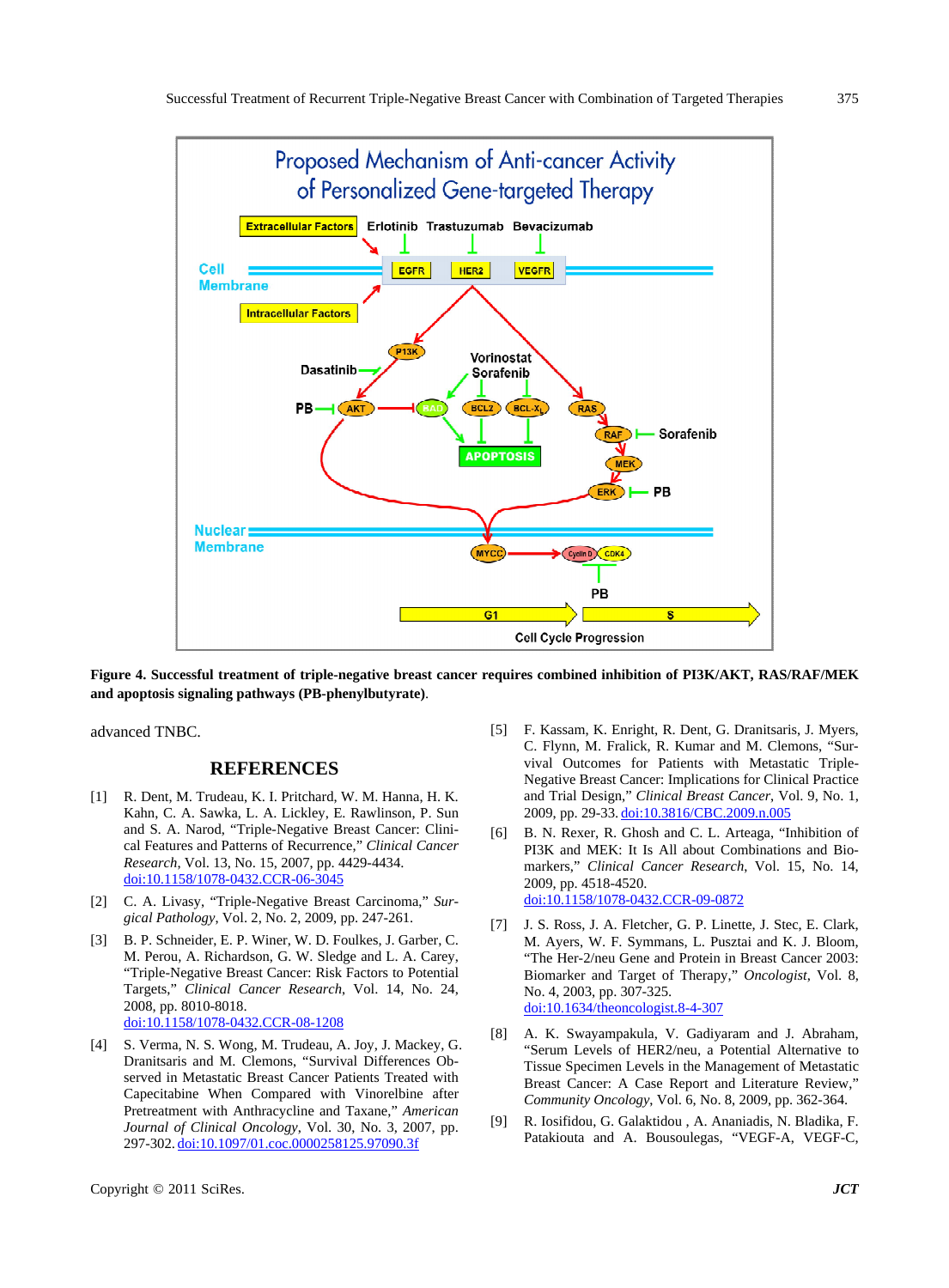

**Figure 4. Successful treatment of triple-negative breast cancer requires combined inhibition of PI3K/AKT, RAS/RAF/MEK and apoptosis signaling pathways (PB-phenylbutyrate)**.

advanced TNBC.

### **REFERENCES**

- [1] R. Dent, M. Trudeau, K. I. Pritchard, W. M. Hanna, H. K. Kahn, C. A. Sawka, L. A. Lickley, E. Rawlinson, P. Sun and S. A. Narod, "Triple-Negative Breast Cancer: Clinical Features and Patterns of Recurrence," *Clinical Cancer Research*, Vol. 13, No. 15, 2007, pp. 4429-4434. [doi:10.1158/1078-0432.CCR-06-3045](http://dx.doi.org/10.1158/1078-0432.CCR-06-3045)
- [2] C. A. Livasy, "Triple-Negative Breast Carcinoma," *Surgical Pathology*, Vol. 2, No. 2, 2009, pp. 247-261.
- [3] B. P. Schneider, E. P. Winer, W. D. Foulkes, J. Garber, C. M. Perou, A. Richardson, G. W. Sledge and L. A. Carey, "Triple-Negative Breast Cancer: Risk Factors to Potential Targets," *Clinical Cancer Research*, Vol. 14, No. 24, 2008, pp. 8010-8018. [doi:10.1158/1078-0432.CCR-08-1208](http://dx.doi.org/10.1158/1078-0432.CCR-08-1208)
- [4] S. Verma, N. S. Wong, M. Trudeau, A. Joy, J. Mackey, G. Dranitsaris and M. Clemons, "Survival Differences Observed in Metastatic Breast Cancer Patients Treated with Capecitabine When Compared with Vinorelbine after Pretreatment with Anthracycline and Taxane," *American Journal of Clinical Oncology*, Vol. 30, No. 3, 2007, pp. 297-302. [doi:10.1097/01.coc.0000258125.97090.3f](http://dx.doi.org/10.1097/01.coc.0000258125.97090.3f)
- [5] F. Kassam, K. Enright, R. Dent, G. Dranitsaris, J. Myers, C. Flynn, M. Fralick, R. Kumar and M. Clemons, "Survival Outcomes for Patients with Metastatic Triple-Negative Breast Cancer: Implications for Clinical Practice and Trial Design," *Clinical Breast Cancer*, Vol. 9, No. 1, 2009, pp. 29-33. [doi:10.3816/CBC.2009.n.005](http://dx.doi.org/10.3816/CBC.2009.n.005)
- [6] B. N. Rexer, R. Ghosh and C. L. Arteaga, "Inhibition of PI3K and MEK: It Is All about Combinations and Biomarkers," *Clinical Cancer Research*, Vol. 15, No. 14, 2009, pp. 4518-4520. [doi:10.1158/1078-0432.CCR-09-0872](http://dx.doi.org/10.1158/1078-0432.CCR-09-0872)
- [7] J. S. Ross, J. A. Fletcher, G. P. Linette, J. Stec, E. Clark, M. Ayers, W. F. Symmans, L. Pusztai and K. J. Bloom, "The Her-2/neu Gene and Protein in Breast Cancer 2003: Biomarker and Target of Therapy," *Oncologist*, Vol. 8, No. 4, 2003, pp. 307-325. [doi:10.1634/theoncologist.8-4-307](http://dx.doi.org/10.1634/theoncologist.8-4-307)
- [8] A. K. Swayampakula, V. Gadiyaram and J. Abraham, "Serum Levels of HER2/neu, a Potential Alternative to Tissue Specimen Levels in the Management of Metastatic Breast Cancer: A Case Report and Literature Review," *Community Oncology*, Vol. 6, No. 8, 2009, pp. 362-364.
- [9] R. Iosifidou, G. Galaktidou , A. Ananiadis, N. Bladika, F. Patakiouta and A. Bousoulegas, "VEGF-A, VEGF-C,